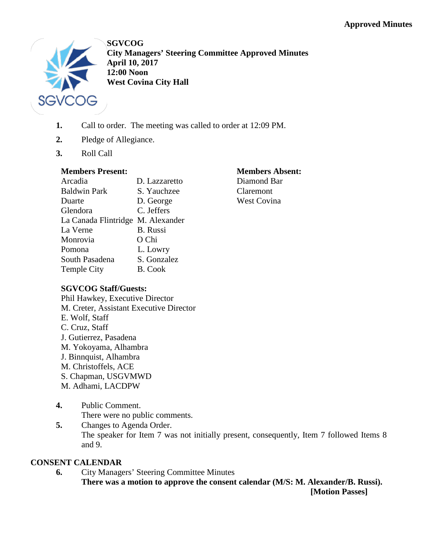

**SGVCOG City Managers' Steering Committee Approved Minutes April 10, 2017 12:00 Noon West Covina City Hall**

- **1.** Call to order. The meeting was called to order at 12:09 PM.
- **2.** Pledge of Allegiance.
- **3.** Roll Call

#### **Members Present:**

| D. Lazzaretto                     |
|-----------------------------------|
| S. Yauchzee                       |
| D. George                         |
| C. Jeffers                        |
| La Canada Flintridge M. Alexander |
| <b>B.</b> Russi                   |
| O Chi                             |
| L. Lowry                          |
| S. Gonzalez                       |
| <b>B.</b> Cook                    |
|                                   |

#### **Members Absent:** Diamond Bar

Claremont West Covina

# **SGVCOG Staff/Guests:**

Phil Hawkey, Executive Director M. Creter, Assistant Executive Director E. Wolf, Staff C. Cruz, Staff J. Gutierrez, Pasadena M. Yokoyama, Alhambra J. Binnquist, Alhambra M. Christoffels, ACE S. Chapman, USGVMWD M. Adhami, LACDPW

- **4.** Public Comment. There were no public comments.
- **5.** Changes to Agenda Order. The speaker for Item 7 was not initially present, consequently, Item 7 followed Items 8 and 9.

# **CONSENT CALENDAR**

**6.** City Managers' Steering Committee Minutes **There was a motion to approve the consent calendar (M/S: M. Alexander/B. Russi). [Motion Passes]**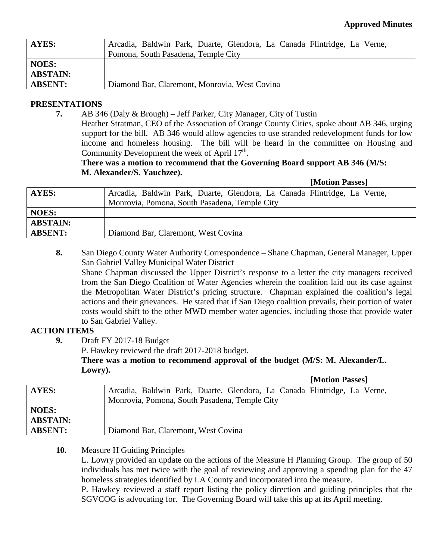| AYES:           | Arcadia, Baldwin Park, Duarte, Glendora, La Canada Flintridge, La Verne, |
|-----------------|--------------------------------------------------------------------------|
|                 | Pomona, South Pasadena, Temple City                                      |
| <b>NOES:</b>    |                                                                          |
| <b>ABSTAIN:</b> |                                                                          |
| <b>ABSENT:</b>  | Diamond Bar, Claremont, Monrovia, West Covina                            |

### **PRESENTATIONS**

**7.** AB 346 (Daly & Brough) – Jeff Parker, City Manager, City of Tustin Heather Stratman, CEO of the Association of Orange County Cities, spoke about AB 346, urging support for the bill. AB 346 would allow agencies to use stranded redevelopment funds for low income and homeless housing. The bill will be heard in the committee on Housing and Community Development the week of April 17<sup>th</sup>.

## **There was a motion to recommend that the Governing Board support AB 346 (M/S: M. Alexander/S. Yauchzee).**

#### **[Motion Passes]**

**[Motion Passes]**

| <b>AYES:</b>    | Arcadia, Baldwin Park, Duarte, Glendora, La Canada Flintridge, La Verne, |
|-----------------|--------------------------------------------------------------------------|
|                 | Monrovia, Pomona, South Pasadena, Temple City                            |
| <b>NOES:</b>    |                                                                          |
| <b>ABSTAIN:</b> |                                                                          |
| <b>ABSENT:</b>  | Diamond Bar, Claremont, West Covina                                      |
|                 |                                                                          |

**8.** San Diego County Water Authority Correspondence – Shane Chapman, General Manager, Upper San Gabriel Valley Municipal Water District

Shane Chapman discussed the Upper District's response to a letter the city managers received from the San Diego Coalition of Water Agencies wherein the coalition laid out its case against the Metropolitan Water District's pricing structure. Chapman explained the coalition's legal actions and their grievances. He stated that if San Diego coalition prevails, their portion of water costs would shift to the other MWD member water agencies, including those that provide water to San Gabriel Valley.

### **ACTION ITEMS**

**9.** Draft FY 2017-18 Budget

P. Hawkey reviewed the draft 2017-2018 budget.

**There was a motion to recommend approval of the budget (M/S: M. Alexander/L. Lowry).**

|                 | <b>HVIOLIOIL L'ASSEST</b>                                                |
|-----------------|--------------------------------------------------------------------------|
| AYES:           | Arcadia, Baldwin Park, Duarte, Glendora, La Canada Flintridge, La Verne, |
|                 | Monrovia, Pomona, South Pasadena, Temple City                            |
| <b>NOES:</b>    |                                                                          |
| <b>ABSTAIN:</b> |                                                                          |
| <b>ABSENT:</b>  | Diamond Bar, Claremont, West Covina                                      |
|                 |                                                                          |

### **10.** Measure H Guiding Principles

L. Lowry provided an update on the actions of the Measure H Planning Group. The group of 50 individuals has met twice with the goal of reviewing and approving a spending plan for the 47 homeless strategies identified by LA County and incorporated into the measure.

P. Hawkey reviewed a staff report listing the policy direction and guiding principles that the SGVCOG is advocating for. The Governing Board will take this up at its April meeting.